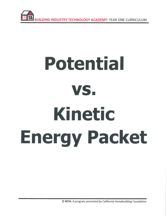

# Potential VS. Kinetic **Energy Packet**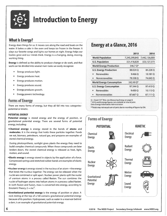

# **Introduction to Energy**

#### **What Is Energy?**

Energy does things for us. It moves cars along the road and boats on the water. It bakes a cake in the oven and keeps ice frozen in the freezer. It plays our favorite songs and lights our homes at night. Energy helps our bodies grow and our minds think. Energy is a changing, doing, moving, working thing.

Energy is defined as the ability to produce change or do work, and that work can be divided into several main tasks we easily recognize:

- Energy produces light.
- Energy produces heat.
- Energy produces motion.
- Energy produces sound.
- Energy produces growth.
- Energy powers technology.

#### **Forms of Energy**

There are many forms of energy, but they all fall into two categoriespotential or kinetic.

#### **POTENTIAL ENERGY**

Potential energy is stored energy and the energy of position, or gravitational potential energy. There are several forms of potential energy, including:

"Chemical energy is energy stored in the bonds of atoms and molecules. It is the energy that holds these particles together. Foods we eat, biomass, petroleum, natural gas, and propane are examples of stored chemical energy.

During photosynthesis, sunlight gives plants the energy they need to build complex chemical compounds. When these compounds are later broken down, the stored chemical energy is released as heat, light, motion, and sound.

- **Elastic energy** is energy stored in objects by the application of a force. Compressed springs and stretched rubber bands are examples of elastic energy.
- **Nuclear energy is energy stored in the nucleus of an atom—the energy** that binds the nucleus together. The energy can be released when the nuclei are combined or split apart. Nuclear power plants split the nuclei of uranium atoms in a process called fission. The sun combines the nuclei of hydrogen atoms into helium atoms in a process called fusion. In both fission and fusion, mass is converted into energy, according to Einstein's Theory,  $E = mc^2$ .
- **"Gravitational potential energy** is the energy of position or place. A rock resting at the top of a hill contains gravitational potential energy because of its position. Hydropower, such as water in a reservoir behind a dam, is an example of gravitational potential energy.

### **Energy at a Glance, 2016**

|                                 | 2015          | 2016          |
|---------------------------------|---------------|---------------|
| <b>World Population</b>         | 7,245,299,845 | 7,442,136,000 |
| <b>U.S. Population</b>          | 321,418,820   | 323,127,573   |
| <b>World Energy Production</b>  | 546.7 O*      |               |
| <b>U.S. Energy Production</b>   | 88.024 Q      | 84.226 Q      |
| Renewables                      | 9.466 O       | 10.181 O      |
| Nonrenewables                   | 78.558 Q      | 74.045 Q      |
| <b>World Energy Consumption</b> | 542.49 Q*     |               |
| <b>U.S. Energy Consumption</b>  | 97.344 Q      | 97.410Q       |
| Renewables                      | 9.450 O       | 10.113Q       |
| Nonrenewables<br>۰              | 87,667 Q      | 87.111 Q      |

Q = Quad (10<sup>15</sup> Btu), see Measuring Energy on page 8.

\* 2016 world energy figures not available at time of print.

Data: Energy Information Administration

\*\* Totals may not equal sum of parts due to rounding of figures by EIA.

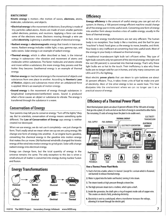#### **KINETIC ENERGY**

Kinetic energy is motion-the motion of wayes, electrons, atoms, molecules, substances, and objects.

- **Electrical energy** is the movement of electrons. Everything is made of tiny particles called atoms. Atoms are made of even smaller particles called electrons, protons, and neutrons. Applying a force can make some of the electrons move. Electrons moving through a wire are called electricity. Lightning is another example of electrical energy.
- **\*Radiant energy is electromagnetic** energy that travels in transverse waves. Radiant energy includes visible light, x-rays, gamma rays, and radio waves. Solar energy is an example of radiant energy.
- .Thermal energy, which is often described as heat, is the internal energy in substances-the vibration and movement of atoms and molecules within substances. The faster molecules and atoms vibrate and move within a substance, the more energy they possess and the hotter they become. Geothermal energy is an example of thermal energy.
- \*Motion energy or mechanical energy is the movement of objects and substances from one place to another. According to Newton's Laws of Motion, objects and substances move when an unbalanced force is applied. Wind is an example of motion energy.
- **Sound energy** is the movement of energy through substances in longitudinal (compression/rarefaction) waves. Sound is produced when a force causes an object or substance to vibrate. The energy is transferred through the substance in a wave.

#### **Conservation of Energy**

Your parents may tell you to conserve energy, "Turn off the lights," they say. But to scientists, conservation of energy means something quite different. The Law of Conservation of Energy says energy is neither created nor destroyed.

When we use energy, we do not use it completely-we just change its form. That's really what we mean when we say we are using energy. We change one form of energy into another. A car engine burns gasoline, converting the chemical energy in the gasoline into motion energy that makes the car move. Old-fashioned windmills changed the kinetic energy of the wind into motion energy to grind grain. Solar cells change radiant energy into electrical energy.

Energy can change form, but the total quantity of energy in the universe remains the same. The only exception to this law is when a small amount of matter is converted into energy during nuclear fusion and fission.



#### ©2018 The NEED Project Secondary Energy Infobook www.NEED.org

#### **Efficiency**

Energy efficiency is the amount of useful energy you can get out of a system. In theory, a 100 percent energy efficient machine would change all of the energy put in it into useful work. Converting one form of energy into another form always involves a loss of usable energy, usually in the form of thermal energy.

In fact, most energy transformations are not very efficient. The human body is no exception. Your body is like a machine, and the fuel for your "machine" is food. Food gives us the energy to move, breathe, and think. Your body is very inefficient at converting food into useful work. Most of the energy in your body is released as thermal energy.

A traditional incandescent light bulb isn't efficient either. This type of light bulb converts only ten percent of the electrical energy into light and the rest (90 percent) is converted into thermal energy. That's why these light bulbs are so hot to the touch. Their inefficiency is also why these bulbs are no longer sold for use in homes, and why many consumers use LEDs and CFLs for lighting.

Most electric power plants that use steam to spin turbines are about 35 percent efficient. Thus, it takes three units of fuel to make one unit of electricity. Most of the other energy is lost as waste heat. This heat dissipates into the environment where we can no longer use it as a practical source of energy.

#### **Efficiency of a Thermal Power Plant**

Most thermal power plants are about 35 percent efficient. Of the 100 units of energy that go into a plant, 65 units are lost as one form of energy is converted to other forms. The remaining 35 units of energy leave the plant to do usable work.



#### **How a Thermal Power Plant Works**

- 1. Fuel is fed into a boiler, where it is burned (except for uranium which is fissioned, not burned) to release thermal energy.
- 2. Water is piped into the boiler and heated, turning it into steam.
- 3. The steam travels at high pressure through a steam line.
- 4. The high pressure steam turns a turbine, which spins a shaft.
- 5. Inside the generator, the shaft spins a ring of magnets inside coils of copper wire. This creates an electric field, producing electricity.
- 6. Electricity is sent to a switchyard, where a transformer increases the voltage, allowing it to travel through the electric grid.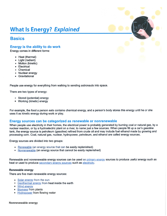# **What Is Energy? Explained**

#### **Basics**

#### Energy is the ability to do work

Energy comes in different forms:

- Heat (thermal)
- Light (radiant)
- **Motion (kinetic)**
- **Electrical**
- Chemical
- **Nuclear energy**
- Gravitational

People use energy for everything from walking to sending astronauts into space.

There are two types of energy:

- **Stored (potential) energy**
- Working (kinetic) energy

For example, the food a person eats contains chemical energy, and a person's body stores this energy until he or she uses it as kinetic energy during work or play.

#### Energy sources can be categorized as renewable or nonrenewable

When people use electricity in their homes, the electrical power is probably generated by burning coal or natural gas, by a nuclear reaction, or by a hydroelectric plant on a river, to name just a few sources. When people fill up a car's gasoline tank, the energy source is petroleum (gasoline) refined from crude oil and may include fuel ethanol made by growing and processing corn. Coal, natural gas, nuclear, hydropower, petroleum, and ethanol are called energy sources.

Energy sources are divided into two groups:

- Renewable (an energy source that can be easily replenished)
- Nonrenewable (an energy source that cannot be easily replenished)

Renewable and nonrenewable energy sources can be used as primary energy sources to produce useful energy such as heat or used to produce secondary energy sources such as electricity.

#### **Renewable energy**

There are five main renewable energy sources:

- Solar energy from the sun
- **B** Geothermal energy from heat inside the earth
- Wind energy
- **Biomass from plants**
- Hydropower from flowing water

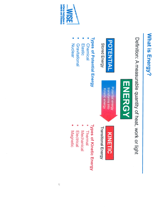# What is Energy?

Definition: A measurable quantity of heat, work or light





Stored Energy

Potential energy transforms into **Kinetic energy** 



Transitional Energy

# Types of Potential Energy

- **Chemical**
- Elastic
- Gravitational
- Nuclear

# Types of Kinetic Energy

- Thermal
- Mechanical
- Electrical
- **Magnetic**

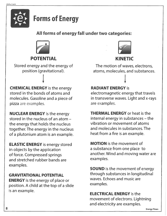

# **Forms of Energy**

## All forms of energy fall under two categories:



# **POTENTIAL**

Stored energy and the energy of position (gravitational).

**CHEMICAL ENERGY** is the energy stored in the bonds of atoms and molecules. Gasoline and a piece of pizza are examples.

**NUCLEAR ENERGY** is the energy stored in the nucleus of an atom the energy that holds the nucleus together. The energy in the nucleus of a plutonium atom is an example.

**ELASTIC ENERGY** is energy stored in objects by the application of force. Compressed springs and stretched rubber bands are examples.

**GRAVITATIONAL POTENTIAL ENERGY** is the energy of place or position. A child at the top of a slide is an example.



## **KINETIC**

The motion of waves, electrons, atoms, molecules, and substances.

### **RADIANT ENERGY is**

electromagnetic energy that travels in transverse waves. Light and x-rays are examples.

**THERMAL ENERGY** or heat is the internal energy in substances – the vibration or movement of atoms and molecules in substances. The heat from a fire is an example.

**MOTION** is the movement of a substance from one place to another. Wind and moving water are examples.

**SOUND** is the movement of energy through substances in longitudinal waves. Echoes and music are examples.

**ELECTRICAL ENERGY is the** movement of electrons. Lightning and electricity are examples.